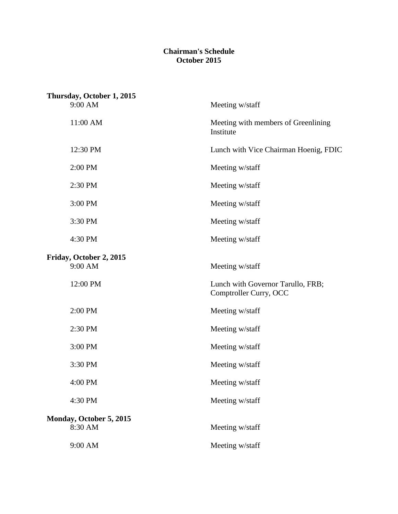## **Chairman's Schedule October 2015**

| Thursday, October 1, 2015                                   |  |  |  |
|-------------------------------------------------------------|--|--|--|
| Meeting w/staff                                             |  |  |  |
| Meeting with members of Greenlining<br>Institute            |  |  |  |
| Lunch with Vice Chairman Hoenig, FDIC                       |  |  |  |
| Meeting w/staff                                             |  |  |  |
| Meeting w/staff                                             |  |  |  |
| Meeting w/staff                                             |  |  |  |
| Meeting w/staff                                             |  |  |  |
| Meeting w/staff                                             |  |  |  |
| Meeting w/staff                                             |  |  |  |
| Lunch with Governor Tarullo, FRB;<br>Comptroller Curry, OCC |  |  |  |
| Meeting w/staff                                             |  |  |  |
| Meeting w/staff                                             |  |  |  |
| Meeting w/staff                                             |  |  |  |
| Meeting w/staff                                             |  |  |  |
| Meeting w/staff                                             |  |  |  |
| Meeting w/staff                                             |  |  |  |
| Meeting w/staff                                             |  |  |  |
| Meeting w/staff                                             |  |  |  |
|                                                             |  |  |  |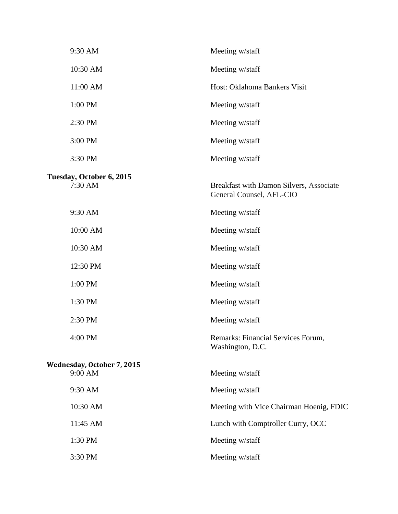| 9:30 AM                               | Meeting w/staff                                                     |
|---------------------------------------|---------------------------------------------------------------------|
| 10:30 AM                              | Meeting w/staff                                                     |
| 11:00 AM                              | Host: Oklahoma Bankers Visit                                        |
| 1:00 PM                               | Meeting w/staff                                                     |
| 2:30 PM                               | Meeting w/staff                                                     |
| 3:00 PM                               | Meeting w/staff                                                     |
| 3:30 PM                               | Meeting w/staff                                                     |
| Tuesday, October 6, 2015<br>7:30 AM   | Breakfast with Damon Silvers, Associate<br>General Counsel, AFL-CIO |
| 9:30 AM                               | Meeting w/staff                                                     |
| 10:00 AM                              | Meeting w/staff                                                     |
| 10:30 AM                              | Meeting w/staff                                                     |
| 12:30 PM                              | Meeting w/staff                                                     |
| 1:00 PM                               | Meeting w/staff                                                     |
| 1:30 PM                               | Meeting w/staff                                                     |
| 2:30 PM                               | Meeting w/staff                                                     |
| 4:00 PM                               | Remarks: Financial Services Forum,<br>Washington, D.C.              |
| Wednesday, October 7, 2015<br>9:00 AM | Meeting w/staff                                                     |
| 9:30 AM                               | Meeting w/staff                                                     |
| 10:30 AM                              | Meeting with Vice Chairman Hoenig, FDIC                             |
| 11:45 AM                              | Lunch with Comptroller Curry, OCC                                   |
| 1:30 PM                               | Meeting w/staff                                                     |
| 3:30 PM                               | Meeting w/staff                                                     |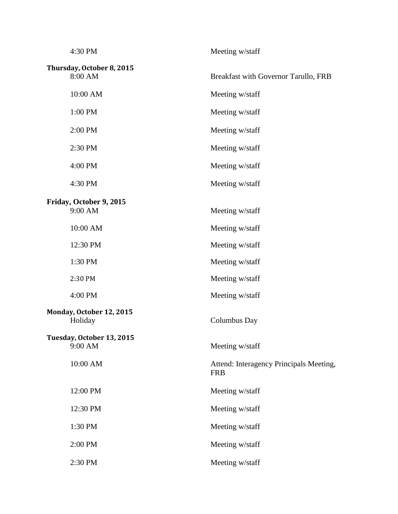| 4:30 PM                              | Meeting w/staff                                       |
|--------------------------------------|-------------------------------------------------------|
| Thursday, October 8, 2015<br>8:00 AM | Breakfast with Governor Tarullo, FRB                  |
| 10:00 AM                             | Meeting w/staff                                       |
| 1:00 PM                              | Meeting w/staff                                       |
| 2:00 PM                              | Meeting w/staff                                       |
| 2:30 PM                              | Meeting w/staff                                       |
| 4:00 PM                              | Meeting w/staff                                       |
| 4:30 PM                              | Meeting w/staff                                       |
| Friday, October 9, 2015              |                                                       |
| 9:00 AM                              | Meeting w/staff                                       |
| 10:00 AM                             | Meeting w/staff                                       |
| 12:30 PM                             | Meeting w/staff                                       |
| 1:30 PM                              | Meeting w/staff                                       |
| 2:30 PM                              | Meeting w/staff                                       |
| 4:00 PM                              | Meeting w/staff                                       |
| Monday, October 12, 2015<br>Holiday  | Columbus Day                                          |
| Tuesday, October 13, 2015<br>9:00 AM | Meeting w/staff                                       |
| 10:00 AM                             | Attend: Interagency Principals Meeting,<br><b>FRB</b> |
| 12:00 PM                             | Meeting w/staff                                       |
| 12:30 PM                             | Meeting w/staff                                       |
| 1:30 PM                              | Meeting w/staff                                       |
| 2:00 PM                              | Meeting w/staff                                       |
| 2:30 PM                              | Meeting w/staff                                       |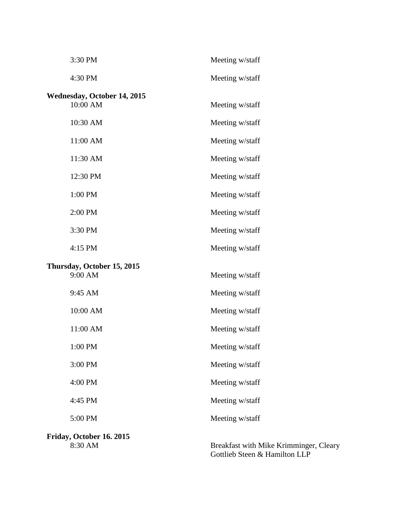| 3:30 PM                                        | Meeting w/staff                        |
|------------------------------------------------|----------------------------------------|
| 4:30 PM                                        | Meeting w/staff                        |
| <b>Wednesday, October 14, 2015</b><br>10:00 AM | Meeting w/staff                        |
| 10:30 AM                                       | Meeting w/staff                        |
| 11:00 AM                                       | Meeting w/staff                        |
| 11:30 AM                                       | Meeting w/staff                        |
| 12:30 PM                                       | Meeting w/staff                        |
| 1:00 PM                                        | Meeting w/staff                        |
| 2:00 PM                                        | Meeting w/staff                        |
| 3:30 PM                                        | Meeting w/staff                        |
| 4:15 PM                                        | Meeting w/staff                        |
| Thursday, October 15, 2015<br>9:00 AM          | Meeting w/staff                        |
| 9:45 AM                                        | Meeting w/staff                        |
| 10:00 AM                                       | Meeting w/staff                        |
| 11:00 AM                                       | Meeting w/staff                        |
| 1:00 PM                                        | Meeting w/staff                        |
| 3:00 PM                                        | Meeting w/staff                        |
| 4:00 PM                                        | Meeting w/staff                        |
| 4:45 PM                                        | Meeting w/staff                        |
| 5:00 PM                                        | Meeting w/staff                        |
| Friday, October 16. 2015<br>8:30 AM            | Breakfast with Mike Krimminger, Cleary |

Gottlieb Steen & Hamilton LLP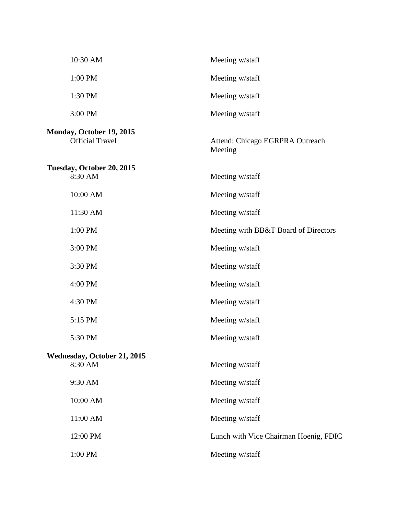| 10:30 AM                                           | Meeting w/staff                            |
|----------------------------------------------------|--------------------------------------------|
| 1:00 PM                                            | Meeting w/staff                            |
| 1:30 PM                                            | Meeting w/staff                            |
| 3:00 PM                                            | Meeting w/staff                            |
| Monday, October 19, 2015<br><b>Official Travel</b> | Attend: Chicago EGRPRA Outreach<br>Meeting |
| Tuesday, October 20, 2015<br>8:30 AM               | Meeting w/staff                            |
| 10:00 AM                                           | Meeting w/staff                            |
| 11:30 AM                                           | Meeting w/staff                            |
| 1:00 PM                                            | Meeting with BB&T Board of Directors       |
| 3:00 PM                                            | Meeting w/staff                            |
| 3:30 PM                                            | Meeting w/staff                            |
| 4:00 PM                                            | Meeting w/staff                            |
| 4:30 PM                                            | Meeting w/staff                            |
| 5:15 PM                                            | Meeting w/staff                            |
| 5:30 PM                                            | Meeting w/staff                            |
| Wednesday, October 21, 2015<br>8:30 AM             | Meeting w/staff                            |
| 9:30 AM                                            | Meeting w/staff                            |
| 10:00 AM                                           | Meeting w/staff                            |
| 11:00 AM                                           | Meeting w/staff                            |
| 12:00 PM                                           | Lunch with Vice Chairman Hoenig, FDIC      |
| 1:00 PM                                            | Meeting w/staff                            |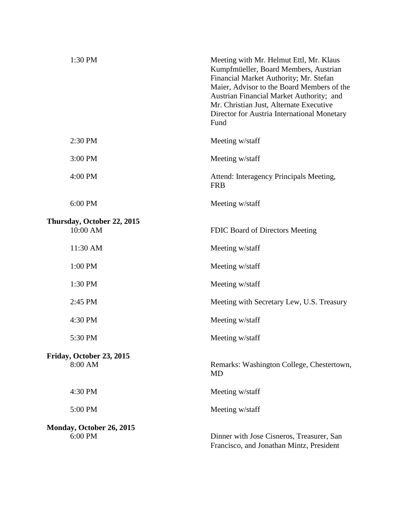| 2:30 PM<br>Meeting w/staff<br>3:00 PM<br>Meeting w/staff<br>4:00 PM<br>Attend: Interagency Principals Meeting,<br><b>FRB</b><br>6:00 PM<br>Meeting w/staff<br>Thursday, October 22, 2015<br>10:00 AM<br>FDIC Board of Directors Meeting<br>11:30 AM<br>Meeting w/staff<br>1:00 PM<br>Meeting w/staff<br>1:30 PM<br>Meeting w/staff<br>2:45 PM<br>Meeting with Secretary Lew, U.S. Treasury<br>4:30 PM<br>Meeting w/staff<br>5:30 PM<br>Meeting w/staff<br>Friday, October 23, 2015<br>8:00 AM<br><b>MD</b><br>4:30 PM<br>Meeting w/staff<br>5:00 PM<br>Meeting w/staff<br><b>Monday, October 26, 2015</b><br>6:00 PM<br>Dinner with Jose Cisneros, Treasurer, San<br>Francisco, and Jonathan Mintz, President | 1:30 PM | Meeting with Mr. Helmut Ettl, Mr. Klaus<br>Kumpfmüeller, Board Members, Austrian<br>Financial Market Authority; Mr. Stefan<br>Maier, Advisor to the Board Members of the<br>Austrian Financial Market Authority; and<br>Mr. Christian Just, Alternate Executive<br>Director for Austria International Monetary<br>Fund |
|---------------------------------------------------------------------------------------------------------------------------------------------------------------------------------------------------------------------------------------------------------------------------------------------------------------------------------------------------------------------------------------------------------------------------------------------------------------------------------------------------------------------------------------------------------------------------------------------------------------------------------------------------------------------------------------------------------------|---------|------------------------------------------------------------------------------------------------------------------------------------------------------------------------------------------------------------------------------------------------------------------------------------------------------------------------|
|                                                                                                                                                                                                                                                                                                                                                                                                                                                                                                                                                                                                                                                                                                               |         |                                                                                                                                                                                                                                                                                                                        |
|                                                                                                                                                                                                                                                                                                                                                                                                                                                                                                                                                                                                                                                                                                               |         |                                                                                                                                                                                                                                                                                                                        |
|                                                                                                                                                                                                                                                                                                                                                                                                                                                                                                                                                                                                                                                                                                               |         |                                                                                                                                                                                                                                                                                                                        |
|                                                                                                                                                                                                                                                                                                                                                                                                                                                                                                                                                                                                                                                                                                               |         |                                                                                                                                                                                                                                                                                                                        |
|                                                                                                                                                                                                                                                                                                                                                                                                                                                                                                                                                                                                                                                                                                               |         |                                                                                                                                                                                                                                                                                                                        |
|                                                                                                                                                                                                                                                                                                                                                                                                                                                                                                                                                                                                                                                                                                               |         |                                                                                                                                                                                                                                                                                                                        |
|                                                                                                                                                                                                                                                                                                                                                                                                                                                                                                                                                                                                                                                                                                               |         |                                                                                                                                                                                                                                                                                                                        |
|                                                                                                                                                                                                                                                                                                                                                                                                                                                                                                                                                                                                                                                                                                               |         |                                                                                                                                                                                                                                                                                                                        |
|                                                                                                                                                                                                                                                                                                                                                                                                                                                                                                                                                                                                                                                                                                               |         |                                                                                                                                                                                                                                                                                                                        |
|                                                                                                                                                                                                                                                                                                                                                                                                                                                                                                                                                                                                                                                                                                               |         |                                                                                                                                                                                                                                                                                                                        |
|                                                                                                                                                                                                                                                                                                                                                                                                                                                                                                                                                                                                                                                                                                               |         |                                                                                                                                                                                                                                                                                                                        |
|                                                                                                                                                                                                                                                                                                                                                                                                                                                                                                                                                                                                                                                                                                               |         | Remarks: Washington College, Chestertown,                                                                                                                                                                                                                                                                              |
|                                                                                                                                                                                                                                                                                                                                                                                                                                                                                                                                                                                                                                                                                                               |         |                                                                                                                                                                                                                                                                                                                        |
|                                                                                                                                                                                                                                                                                                                                                                                                                                                                                                                                                                                                                                                                                                               |         |                                                                                                                                                                                                                                                                                                                        |
|                                                                                                                                                                                                                                                                                                                                                                                                                                                                                                                                                                                                                                                                                                               |         |                                                                                                                                                                                                                                                                                                                        |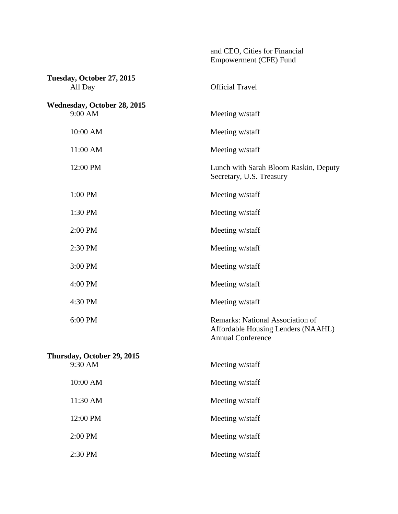| Tuesday, October 27, 2015          |                                                                                                    |
|------------------------------------|----------------------------------------------------------------------------------------------------|
| All Day                            | <b>Official Travel</b>                                                                             |
| <b>Wednesday, October 28, 2015</b> |                                                                                                    |
| 9:00 AM                            | Meeting w/staff                                                                                    |
| 10:00 AM                           | Meeting w/staff                                                                                    |
| 11:00 AM                           | Meeting w/staff                                                                                    |
| 12:00 PM                           | Lunch with Sarah Bloom Raskin, Deputy<br>Secretary, U.S. Treasury                                  |
| 1:00 PM                            | Meeting w/staff                                                                                    |
| 1:30 PM                            | Meeting w/staff                                                                                    |
| 2:00 PM                            | Meeting w/staff                                                                                    |
| 2:30 PM                            | Meeting w/staff                                                                                    |
| 3:00 PM                            | Meeting w/staff                                                                                    |
| 4:00 PM                            | Meeting w/staff                                                                                    |
| 4:30 PM                            | Meeting w/staff                                                                                    |
| 6:00 PM                            | Remarks: National Association of<br>Affordable Housing Lenders (NAAHL)<br><b>Annual Conference</b> |
| Thursday, October 29, 2015         |                                                                                                    |
| 9:30 AM                            | Meeting w/staff                                                                                    |
| $10:00~\mathrm{AM}$                | Meeting w/staff                                                                                    |
| 11:30 AM                           | Meeting w/staff                                                                                    |
| 12:00 PM                           | Meeting w/staff                                                                                    |
| 2:00 PM                            | Meeting w/staff                                                                                    |
| 2:30 PM                            | Meeting w/staff                                                                                    |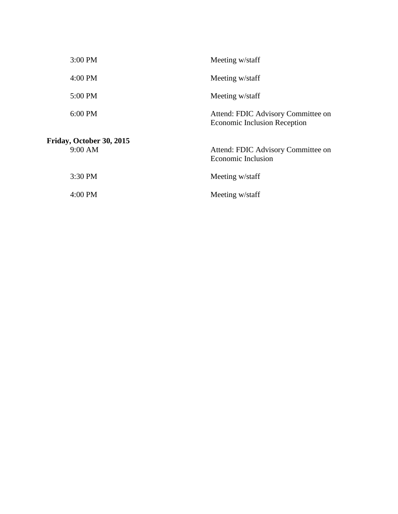| 3:00 PM                             | Meeting w/staff                                                           |
|-------------------------------------|---------------------------------------------------------------------------|
| $4:00$ PM                           | Meeting w/staff                                                           |
| 5:00 PM                             | Meeting w/staff                                                           |
| $6:00$ PM                           | Attend: FDIC Advisory Committee on<br><b>Economic Inclusion Reception</b> |
| Friday, October 30, 2015<br>9:00 AM | Attend: FDIC Advisory Committee on<br><b>Economic Inclusion</b>           |
| 3:30 PM                             | Meeting w/staff                                                           |
| $4:00 \text{ PM}$                   | Meeting w/staff                                                           |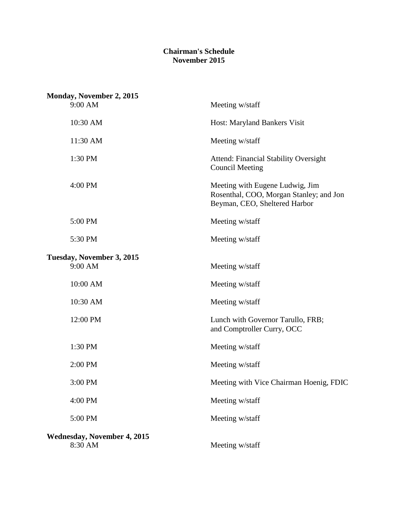## **Chairman's Schedule November 2015**

| <b>Monday, November 2, 2015</b><br>9:00 AM | Meeting w/staff                                                                                             |
|--------------------------------------------|-------------------------------------------------------------------------------------------------------------|
| 10:30 AM                                   | Host: Maryland Bankers Visit                                                                                |
|                                            |                                                                                                             |
| 11:30 AM                                   | Meeting w/staff                                                                                             |
| 1:30 PM                                    | <b>Attend: Financial Stability Oversight</b><br><b>Council Meeting</b>                                      |
| 4:00 PM                                    | Meeting with Eugene Ludwig, Jim<br>Rosenthal, COO, Morgan Stanley; and Jon<br>Beyman, CEO, Sheltered Harbor |
| 5:00 PM                                    | Meeting w/staff                                                                                             |
| 5:30 PM                                    | Meeting w/staff                                                                                             |
| Tuesday, November 3, 2015                  |                                                                                                             |
| 9:00 AM                                    | Meeting w/staff                                                                                             |
| 10:00 AM                                   | Meeting w/staff                                                                                             |
| 10:30 AM                                   | Meeting w/staff                                                                                             |
| 12:00 PM                                   | Lunch with Governor Tarullo, FRB;<br>and Comptroller Curry, OCC                                             |
| 1:30 PM                                    | Meeting w/staff                                                                                             |
| 2:00 PM                                    | Meeting w/staff                                                                                             |
| 3:00 PM                                    | Meeting with Vice Chairman Hoenig, FDIC                                                                     |
| 4:00 PM                                    | Meeting w/staff                                                                                             |
| 5:00 PM                                    | Meeting w/staff                                                                                             |
| Wednesday, November 4, 2015                |                                                                                                             |
| 8:30 AM                                    | Meeting w/staff                                                                                             |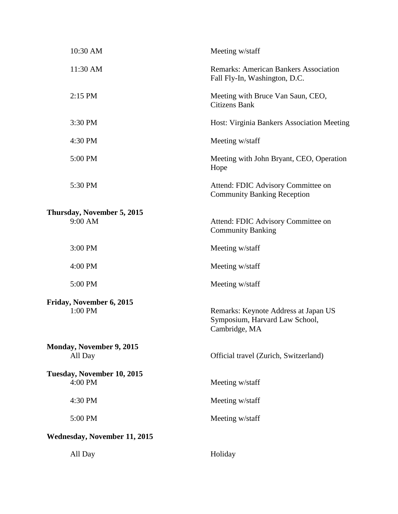| 10:30 AM                                   | Meeting w/staff                                                                         |
|--------------------------------------------|-----------------------------------------------------------------------------------------|
| 11:30 AM                                   | <b>Remarks: American Bankers Association</b><br>Fall Fly-In, Washington, D.C.           |
| 2:15 PM                                    | Meeting with Bruce Van Saun, CEO,<br><b>Citizens Bank</b>                               |
| 3:30 PM                                    | Host: Virginia Bankers Association Meeting                                              |
| 4:30 PM                                    | Meeting w/staff                                                                         |
| 5:00 PM                                    | Meeting with John Bryant, CEO, Operation<br>Hope                                        |
| 5:30 PM                                    | Attend: FDIC Advisory Committee on<br><b>Community Banking Reception</b>                |
| Thursday, November 5, 2015                 |                                                                                         |
| 9:00 AM                                    | Attend: FDIC Advisory Committee on<br><b>Community Banking</b>                          |
| 3:00 PM                                    | Meeting w/staff                                                                         |
| 4:00 PM                                    | Meeting w/staff                                                                         |
| 5:00 PM                                    | Meeting w/staff                                                                         |
| Friday, November 6, 2015<br>1:00 PM        | Remarks: Keynote Address at Japan US<br>Symposium, Harvard Law School,<br>Cambridge, MA |
| <b>Monday, November 9, 2015</b><br>All Day | Official travel (Zurich, Switzerland)                                                   |
| Tuesday, November 10, 2015<br>4:00 PM      | Meeting w/staff                                                                         |
| 4:30 PM                                    | Meeting w/staff                                                                         |
| 5:00 PM                                    | Meeting w/staff                                                                         |
| <b>Wednesday, November 11, 2015</b>        |                                                                                         |
| All Day                                    | Holiday                                                                                 |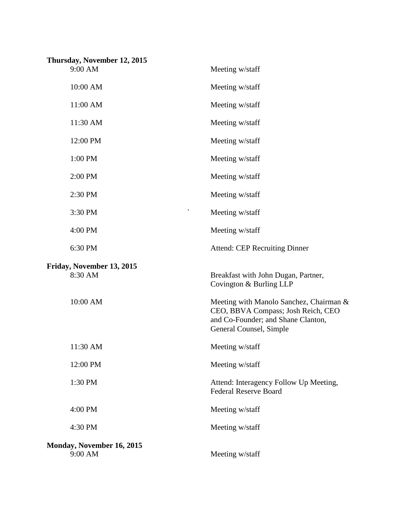| Thursday, November 12, 2015<br>9:00 AM | Meeting w/staff                                                                                                                                |
|----------------------------------------|------------------------------------------------------------------------------------------------------------------------------------------------|
|                                        |                                                                                                                                                |
| 10:00 AM                               | Meeting w/staff                                                                                                                                |
| 11:00 AM                               | Meeting w/staff                                                                                                                                |
| 11:30 AM                               | Meeting w/staff                                                                                                                                |
| 12:00 PM                               | Meeting w/staff                                                                                                                                |
| 1:00 PM                                | Meeting w/staff                                                                                                                                |
| 2:00 PM                                | Meeting w/staff                                                                                                                                |
| 2:30 PM                                | Meeting w/staff                                                                                                                                |
| 3:30 PM                                | $\checkmark$<br>Meeting w/staff                                                                                                                |
| 4:00 PM                                | Meeting w/staff                                                                                                                                |
| 6:30 PM                                | <b>Attend: CEP Recruiting Dinner</b>                                                                                                           |
| Friday, November 13, 2015<br>8:30 AM   | Breakfast with John Dugan, Partner,<br>Covington & Burling LLP                                                                                 |
| 10:00 AM                               | Meeting with Manolo Sanchez, Chairman &<br>CEO, BBVA Compass; Josh Reich, CEO<br>and Co-Founder; and Shane Clanton,<br>General Counsel, Simple |
| 11:30 AM                               | Meeting w/staff                                                                                                                                |
| 12:00 PM                               | Meeting w/staff                                                                                                                                |
| 1:30 PM                                | Attend: Interagency Follow Up Meeting,<br><b>Federal Reserve Board</b>                                                                         |
| 4:00 PM                                | Meeting w/staff                                                                                                                                |
| 4:30 PM                                | Meeting w/staff                                                                                                                                |
| Monday, November 16, 2015<br>9:00 AM   | Meeting w/staff                                                                                                                                |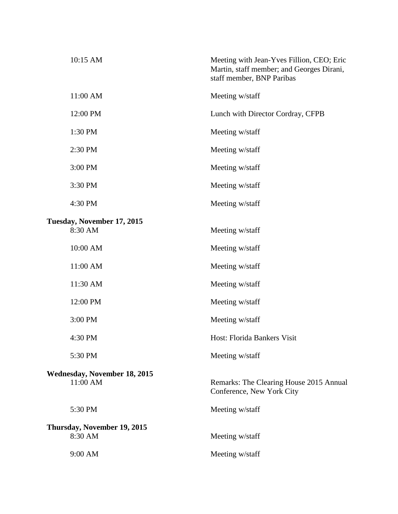| 10:15 AM                               | Meeting with Jean-Yves Fillion, CEO; Eric<br>Martin, staff member; and Georges Dirani,<br>staff member, BNP Paribas |
|----------------------------------------|---------------------------------------------------------------------------------------------------------------------|
| 11:00 AM                               | Meeting w/staff                                                                                                     |
| 12:00 PM                               | Lunch with Director Cordray, CFPB                                                                                   |
| 1:30 PM                                | Meeting w/staff                                                                                                     |
| 2:30 PM                                | Meeting w/staff                                                                                                     |
| 3:00 PM                                | Meeting w/staff                                                                                                     |
| 3:30 PM                                | Meeting w/staff                                                                                                     |
| 4:30 PM                                | Meeting w/staff                                                                                                     |
|                                        |                                                                                                                     |
| Tuesday, November 17, 2015<br>8:30 AM  | Meeting w/staff                                                                                                     |
| 10:00 AM                               | Meeting w/staff                                                                                                     |
| 11:00 AM                               | Meeting w/staff                                                                                                     |
| 11:30 AM                               | Meeting w/staff                                                                                                     |
| 12:00 PM                               | Meeting w/staff                                                                                                     |
| 3:00 PM                                | Meeting w/staff                                                                                                     |
| 4:30 PM                                | Host: Florida Bankers Visit                                                                                         |
| 5:30 PM                                | Meeting w/staff                                                                                                     |
| <b>Wednesday, November 18, 2015</b>    |                                                                                                                     |
| 11:00 AM                               | Remarks: The Clearing House 2015 Annual<br>Conference, New York City                                                |
| 5:30 PM                                | Meeting w/staff                                                                                                     |
|                                        |                                                                                                                     |
| Thursday, November 19, 2015<br>8:30 AM | Meeting w/staff                                                                                                     |
| 9:00 AM                                | Meeting w/staff                                                                                                     |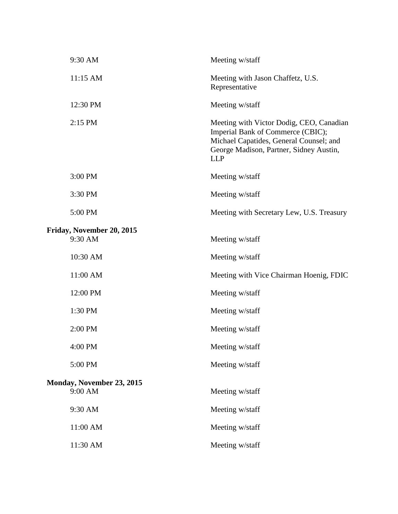| 9:30 AM                                     | Meeting w/staff                                                                                                                                                                   |
|---------------------------------------------|-----------------------------------------------------------------------------------------------------------------------------------------------------------------------------------|
| 11:15 AM                                    | Meeting with Jason Chaffetz, U.S.<br>Representative                                                                                                                               |
| 12:30 PM                                    | Meeting w/staff                                                                                                                                                                   |
| 2:15 PM                                     | Meeting with Victor Dodig, CEO, Canadian<br>Imperial Bank of Commerce (CBIC);<br>Michael Capatides, General Counsel; and<br>George Madison, Partner, Sidney Austin,<br><b>LLP</b> |
| 3:00 PM                                     | Meeting w/staff                                                                                                                                                                   |
| 3:30 PM                                     | Meeting w/staff                                                                                                                                                                   |
| 5:00 PM                                     | Meeting with Secretary Lew, U.S. Treasury                                                                                                                                         |
| Friday, November 20, 2015<br>9:30 AM        | Meeting w/staff                                                                                                                                                                   |
| 10:30 AM                                    | Meeting w/staff                                                                                                                                                                   |
| 11:00 AM                                    | Meeting with Vice Chairman Hoenig, FDIC                                                                                                                                           |
| 12:00 PM                                    | Meeting w/staff                                                                                                                                                                   |
| 1:30 PM                                     | Meeting w/staff                                                                                                                                                                   |
| 2:00 PM                                     | Meeting w/staff                                                                                                                                                                   |
| 4:00 PM                                     | Meeting w/staff                                                                                                                                                                   |
| 5:00 PM                                     | Meeting w/staff                                                                                                                                                                   |
| <b>Monday, November 23, 2015</b><br>9:00 AM | Meeting w/staff                                                                                                                                                                   |
| 9:30 AM                                     | Meeting w/staff                                                                                                                                                                   |
| 11:00 AM                                    | Meeting w/staff                                                                                                                                                                   |
| 11:30 AM                                    | Meeting w/staff                                                                                                                                                                   |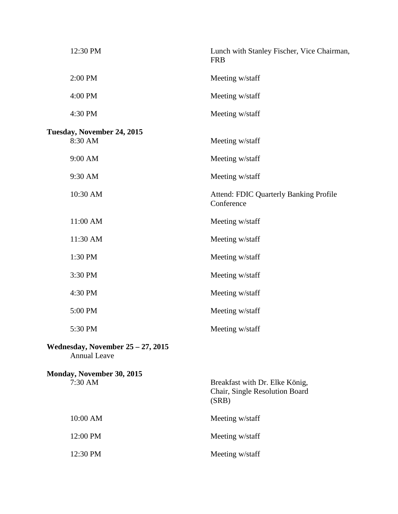| 12:30 PM                                                    | Lunch with Stanley Fischer, Vice Chairman,<br><b>FRB</b>                  |
|-------------------------------------------------------------|---------------------------------------------------------------------------|
| 2:00 PM                                                     | Meeting w/staff                                                           |
| 4:00 PM                                                     | Meeting w/staff                                                           |
| 4:30 PM                                                     | Meeting w/staff                                                           |
| Tuesday, November 24, 2015<br>8:30 AM                       | Meeting w/staff                                                           |
| 9:00 AM                                                     | Meeting w/staff                                                           |
| 9:30 AM                                                     | Meeting w/staff                                                           |
| 10:30 AM                                                    | <b>Attend: FDIC Quarterly Banking Profile</b><br>Conference               |
| 11:00 AM                                                    | Meeting w/staff                                                           |
| 11:30 AM                                                    | Meeting w/staff                                                           |
| 1:30 PM                                                     | Meeting w/staff                                                           |
| 3:30 PM                                                     | Meeting w/staff                                                           |
| 4:30 PM                                                     | Meeting w/staff                                                           |
| 5:00 PM                                                     | Meeting w/staff                                                           |
| 5:30 PM                                                     | Meeting w/staff                                                           |
| Wednesday, November $25 - 27$ , 2015<br><b>Annual Leave</b> |                                                                           |
| Monday, November 30, 2015<br>7:30 AM                        | Breakfast with Dr. Elke König,<br>Chair, Single Resolution Board<br>(SRB) |
| 10:00 AM                                                    | Meeting w/staff                                                           |
| 12:00 PM                                                    | Meeting w/staff                                                           |
| 12:30 PM                                                    | Meeting w/staff                                                           |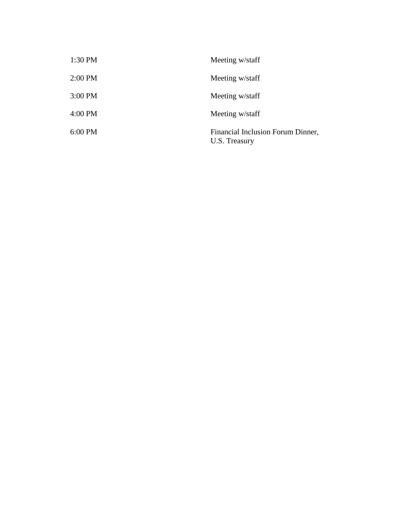| 1:30 PM | Meeting w/staff                                    |
|---------|----------------------------------------------------|
| 2:00 PM | Meeting w/staff                                    |
| 3:00 PM | Meeting w/staff                                    |
| 4:00 PM | Meeting w/staff                                    |
| 6:00 PM | Financial Inclusion Forum Dinner,<br>U.S. Treasury |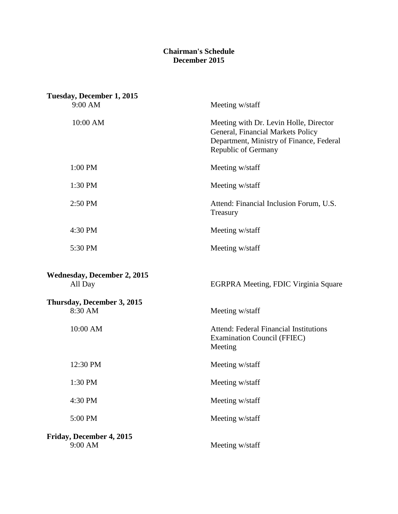## **Chairman's Schedule December 2015**

| Tuesday, December 1, 2015                     |                                                                                                                                                |
|-----------------------------------------------|------------------------------------------------------------------------------------------------------------------------------------------------|
| 9:00 AM                                       | Meeting w/staff                                                                                                                                |
| 10:00 AM                                      | Meeting with Dr. Levin Holle, Director<br>General, Financial Markets Policy<br>Department, Ministry of Finance, Federal<br>Republic of Germany |
| 1:00 PM                                       | Meeting w/staff                                                                                                                                |
| 1:30 PM                                       | Meeting w/staff                                                                                                                                |
| 2:50 PM                                       | Attend: Financial Inclusion Forum, U.S.<br>Treasury                                                                                            |
| 4:30 PM                                       | Meeting w/staff                                                                                                                                |
| 5:30 PM                                       | Meeting w/staff                                                                                                                                |
| <b>Wednesday, December 2, 2015</b><br>All Day | EGRPRA Meeting, FDIC Virginia Square                                                                                                           |
| Thursday, December 3, 2015<br>8:30 AM         | Meeting w/staff                                                                                                                                |
| 10:00 AM                                      | <b>Attend: Federal Financial Institutions</b><br><b>Examination Council (FFIEC)</b><br>Meeting                                                 |
| 12:30 PM                                      | Meeting w/staff                                                                                                                                |
| 1:30 PM                                       | Meeting w/staff                                                                                                                                |
| 4:30 PM                                       | Meeting w/staff                                                                                                                                |
| 5:00 PM                                       | Meeting w/staff                                                                                                                                |
| Friday, December 4, 2015<br>9:00 AM           | Meeting w/staff                                                                                                                                |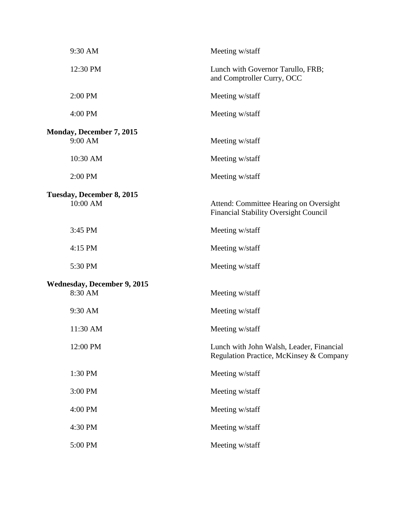| 9:30 AM                                       | Meeting w/staff                                                                        |
|-----------------------------------------------|----------------------------------------------------------------------------------------|
| 12:30 PM                                      | Lunch with Governor Tarullo, FRB;<br>and Comptroller Curry, OCC                        |
| 2:00 PM                                       | Meeting w/staff                                                                        |
| 4:00 PM                                       | Meeting w/staff                                                                        |
| Monday, December 7, 2015<br>9:00 AM           | Meeting w/staff                                                                        |
| 10:30 AM                                      | Meeting w/staff                                                                        |
| 2:00 PM                                       | Meeting w/staff                                                                        |
| Tuesday, December 8, 2015<br>10:00 AM         | Attend: Committee Hearing on Oversight<br><b>Financial Stability Oversight Council</b> |
| 3:45 PM                                       | Meeting w/staff                                                                        |
| 4:15 PM                                       | Meeting w/staff                                                                        |
| 5:30 PM                                       | Meeting w/staff                                                                        |
| <b>Wednesday, December 9, 2015</b><br>8:30 AM | Meeting w/staff                                                                        |
| 9:30 AM                                       | Meeting w/staff                                                                        |
| 11:30 AM                                      | Meeting w/staff                                                                        |
| 12:00 PM                                      | Lunch with John Walsh, Leader, Financial<br>Regulation Practice, McKinsey & Company    |
| 1:30 PM                                       | Meeting w/staff                                                                        |
| 3:00 PM                                       | Meeting w/staff                                                                        |
| 4:00 PM                                       | Meeting w/staff                                                                        |
| 4:30 PM                                       | Meeting w/staff                                                                        |
| 5:00 PM                                       | Meeting w/staff                                                                        |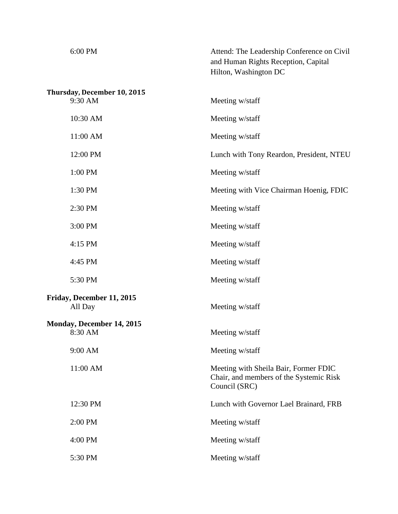| 6:00 PM                                | Attend: The Leadership Conference on Civil<br>and Human Rights Reception, Capital<br>Hilton, Washington DC |
|----------------------------------------|------------------------------------------------------------------------------------------------------------|
| Thursday, December 10, 2015<br>9:30 AM | Meeting w/staff                                                                                            |
| 10:30 AM                               | Meeting w/staff                                                                                            |
| 11:00 AM                               | Meeting w/staff                                                                                            |
| 12:00 PM                               | Lunch with Tony Reardon, President, NTEU                                                                   |
| 1:00 PM                                | Meeting w/staff                                                                                            |
| 1:30 PM                                | Meeting with Vice Chairman Hoenig, FDIC                                                                    |
| 2:30 PM                                | Meeting w/staff                                                                                            |
| 3:00 PM                                | Meeting w/staff                                                                                            |
| 4:15 PM                                | Meeting w/staff                                                                                            |
| 4:45 PM                                | Meeting w/staff                                                                                            |
| 5:30 PM                                | Meeting w/staff                                                                                            |
| Friday, December 11, 2015<br>All Day   | Meeting w/staff                                                                                            |
| Monday, December 14, 2015<br>8:30 AM   | Meeting w/staff                                                                                            |
| 9:00 AM                                | Meeting w/staff                                                                                            |
| 11:00 AM                               | Meeting with Sheila Bair, Former FDIC<br>Chair, and members of the Systemic Risk<br>Council (SRC)          |
| 12:30 PM                               | Lunch with Governor Lael Brainard, FRB                                                                     |
| 2:00 PM                                | Meeting w/staff                                                                                            |
| 4:00 PM                                | Meeting w/staff                                                                                            |
| 5:30 PM                                | Meeting w/staff                                                                                            |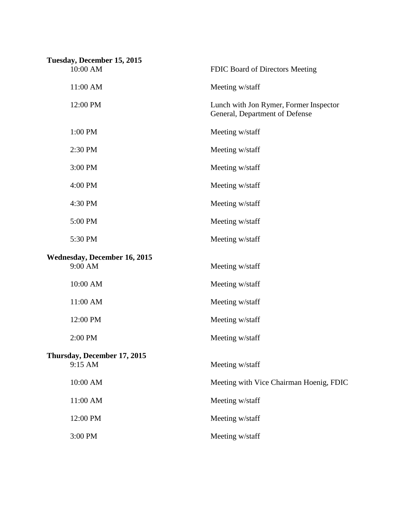| Tuesday, December 15, 2015<br>10:00 AM  | FDIC Board of Directors Meeting                                          |
|-----------------------------------------|--------------------------------------------------------------------------|
| 11:00 AM                                | Meeting w/staff                                                          |
| 12:00 PM                                | Lunch with Jon Rymer, Former Inspector<br>General, Department of Defense |
| 1:00 PM                                 | Meeting w/staff                                                          |
| 2:30 PM                                 | Meeting w/staff                                                          |
| 3:00 PM                                 | Meeting w/staff                                                          |
| 4:00 PM                                 | Meeting w/staff                                                          |
| 4:30 PM                                 | Meeting w/staff                                                          |
| 5:00 PM                                 | Meeting w/staff                                                          |
| 5:30 PM                                 | Meeting w/staff                                                          |
| Wednesday, December 16, 2015<br>9:00 AM | Meeting w/staff                                                          |
| 10:00 AM                                | Meeting w/staff                                                          |
| 11:00 AM                                | Meeting w/staff                                                          |
| 12:00 PM                                | Meeting w/staff                                                          |
| 2:00 PM                                 | Meeting w/staff                                                          |
| Thursday, December 17, 2015<br>9:15 AM  | Meeting w/staff                                                          |
| 10:00 AM                                | Meeting with Vice Chairman Hoenig, FDIC                                  |
| 11:00 AM                                | Meeting w/staff                                                          |
| 12:00 PM                                | Meeting w/staff                                                          |
| 3:00 PM                                 | Meeting w/staff                                                          |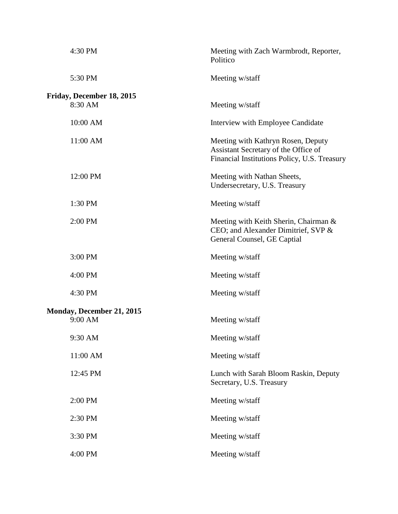| 4:30 PM                                     | Meeting with Zach Warmbrodt, Reporter,<br>Politico                                                                         |
|---------------------------------------------|----------------------------------------------------------------------------------------------------------------------------|
| 5:30 PM                                     | Meeting w/staff                                                                                                            |
| Friday, December 18, 2015<br>8:30 AM        | Meeting w/staff                                                                                                            |
| 10:00 AM                                    | Interview with Employee Candidate                                                                                          |
| 11:00 AM                                    | Meeting with Kathryn Rosen, Deputy<br>Assistant Secretary of the Office of<br>Financial Institutions Policy, U.S. Treasury |
| 12:00 PM                                    | Meeting with Nathan Sheets,<br>Undersecretary, U.S. Treasury                                                               |
| 1:30 PM                                     | Meeting w/staff                                                                                                            |
| 2:00 PM                                     | Meeting with Keith Sherin, Chairman &<br>CEO; and Alexander Dimitrief, SVP &<br>General Counsel, GE Captial                |
| 3:00 PM                                     | Meeting w/staff                                                                                                            |
| 4:00 PM                                     | Meeting w/staff                                                                                                            |
| 4:30 PM                                     | Meeting w/staff                                                                                                            |
| <b>Monday, December 21, 2015</b><br>9:00 AM | Meeting w/staff                                                                                                            |
| 9:30 AM                                     | Meeting w/staff                                                                                                            |
| 11:00 AM                                    | Meeting w/staff                                                                                                            |
| 12:45 PM                                    | Lunch with Sarah Bloom Raskin, Deputy<br>Secretary, U.S. Treasury                                                          |
| 2:00 PM                                     | Meeting w/staff                                                                                                            |
| 2:30 PM                                     | Meeting w/staff                                                                                                            |
| 3:30 PM                                     | Meeting w/staff                                                                                                            |
| 4:00 PM                                     | Meeting w/staff                                                                                                            |